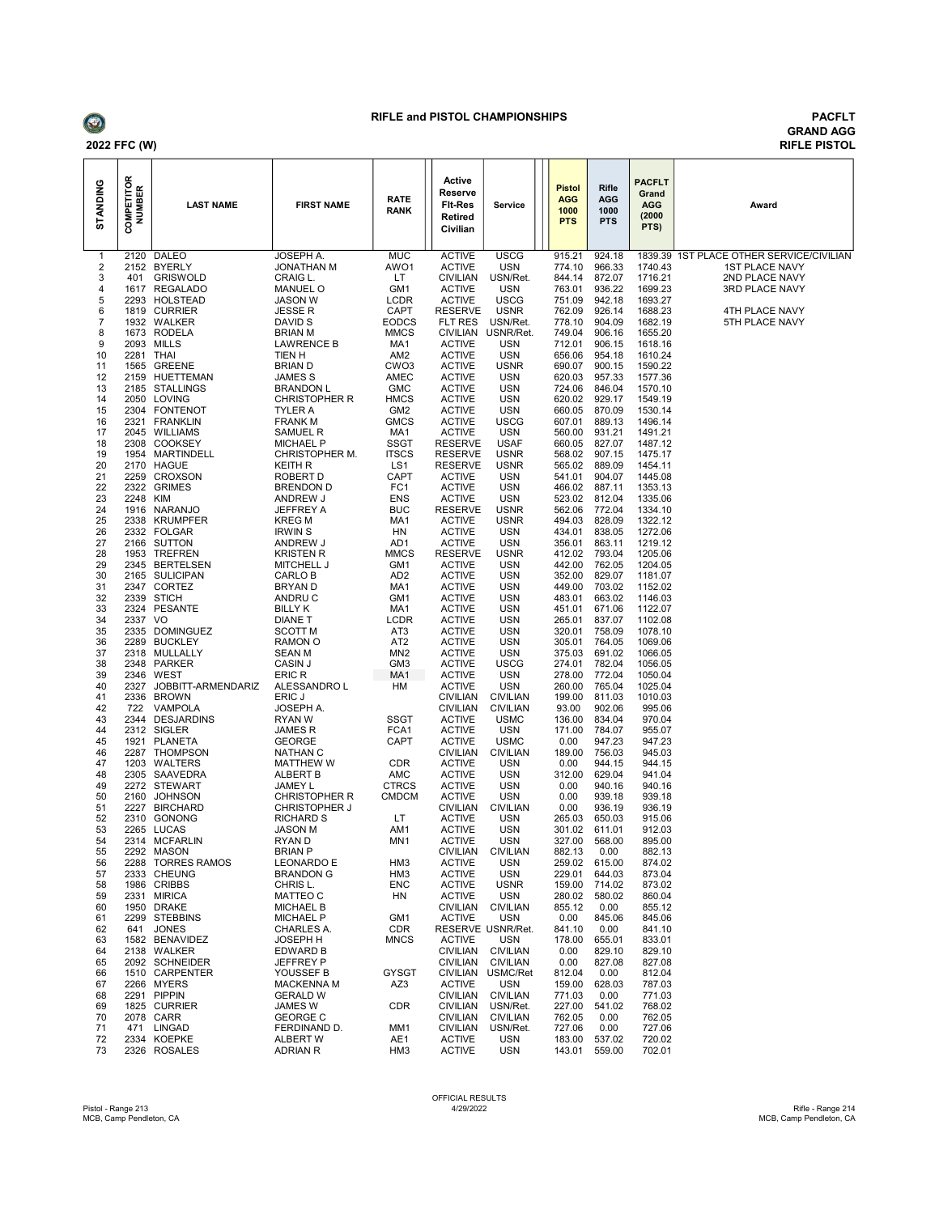

## RIFLE and PISTOL CHAMPIONSHIPS PACFLT

## GRAND AGG RIFLE PISTOL

| STANDING                     | <b>COMPETITOR</b><br>NUMBER | <b>LAST NAME</b>                 | <b>FIRST NAME</b>                            | <b>RATE</b><br>RANK                | Active<br>Reserve<br><b>FIt-Res</b><br><b>Retired</b><br>Civilian | <b>Service</b>                | <b>Pistol</b><br><b>AGG</b><br>1000<br><b>PTS</b> | <b>Rifle</b><br><b>AGG</b><br>1000<br><b>PTS</b> | <b>PACFLT</b><br>Grand<br><b>AGG</b><br>(2000)<br>PTS) | Award                                    |
|------------------------------|-----------------------------|----------------------------------|----------------------------------------------|------------------------------------|-------------------------------------------------------------------|-------------------------------|---------------------------------------------------|--------------------------------------------------|--------------------------------------------------------|------------------------------------------|
| 1                            |                             | 2120 DALEO                       | JOSEPH A.                                    | <b>MUC</b>                         | <b>ACTIVE</b>                                                     | <b>USCG</b>                   | 915.21                                            | 924.18                                           | 1740.43                                                | 1839.39 1ST PLACE OTHER SERVICE/CIVILIAN |
| $\overline{\mathbf{c}}$<br>3 | 401                         | 2152 BYERLY<br><b>GRISWOLD</b>   | JONATHAN M<br>CRAIG L.                       | AWO1<br>LT                         | <b>ACTIVE</b><br><b>CIVILIAN</b>                                  | <b>USN</b><br>USN/Ret.        | 774.10<br>844.14                                  | 966.33<br>872.07                                 | 1716.21                                                | <b>1ST PLACE NAVY</b><br>2ND PLACE NAVY  |
| 4                            |                             | 1617 REGALADO                    | <b>MANUEL O</b>                              | GM1                                | <b>ACTIVE</b>                                                     | <b>USN</b>                    | 763.01                                            | 936.22                                           | 1699.23                                                | 3RD PLACE NAVY                           |
| 5<br>6                       |                             | 2293 HOLSTEAD                    | <b>JASON W</b>                               | <b>LCDR</b>                        | <b>ACTIVE</b><br><b>RESERVE</b>                                   | <b>USCG</b><br><b>USNR</b>    | 751.09                                            | 942.18<br>926.14                                 | 1693.27                                                | 4TH PLACE NAVY                           |
| 7                            |                             | 1819 CURRIER<br>1932 WALKER      | JESSE R<br>DAVID S                           | CAPT<br><b>EODCS</b>               | FLT RES                                                           | USN/Ret.                      | 762.09<br>778.10                                  | 904.09                                           | 1688.23<br>1682.19                                     | 5TH PLACE NAVY                           |
| 8                            |                             | 1673 RODELA                      | <b>BRIAN M</b>                               | <b>MMCS</b>                        | <b>CIVILIAN</b>                                                   | USNR/Ret.                     | 749.04                                            | 906.16                                           | 1655.20                                                |                                          |
| 9<br>10                      | 2281 THAI                   | 2093 MILLS                       | <b>LAWRENCE B</b>                            | MA1<br>AM <sub>2</sub>             | <b>ACTIVE</b><br><b>ACTIVE</b>                                    | <b>USN</b><br><b>USN</b>      | 712.01<br>656.06                                  | 906.15<br>954.18                                 | 1618.16<br>1610.24                                     |                                          |
| 11                           |                             | 1565 GREENE                      | TIEN H<br><b>BRIAND</b>                      | CW <sub>O3</sub>                   | <b>ACTIVE</b>                                                     | <b>USNR</b>                   | 690.07                                            | 900.15                                           | 1590.22                                                |                                          |
| 12                           | 2159                        | HUETTEMAN                        | JAMES <sub>S</sub>                           | AMEC                               | <b>ACTIVE</b>                                                     | <b>USN</b>                    | 620.03                                            | 957.33                                           | 1577.36                                                |                                          |
| 13<br>14                     |                             | 2185 STALLINGS<br>2050 LOVING    | <b>BRANDON L</b><br><b>CHRISTOPHER R</b>     | <b>GMC</b><br><b>HMCS</b>          | <b>ACTIVE</b><br><b>ACTIVE</b>                                    | USN<br><b>USN</b>             | 724.06<br>620.02                                  | 846.04<br>929.17                                 | 1570.10<br>1549.19                                     |                                          |
| 15                           |                             | 2304 FONTENOT                    | TYLER A                                      | GM <sub>2</sub>                    | <b>ACTIVE</b>                                                     | <b>USN</b>                    | 660.05                                            | 870.09                                           | 1530.14                                                |                                          |
| 16                           | 2321                        | FRANKLIN                         | <b>FRANK M</b>                               | <b>GMCS</b>                        | <b>ACTIVE</b>                                                     | <b>USCG</b>                   | 607.01                                            | 889.13                                           | 1496.14                                                |                                          |
| 17<br>18                     | 2045                        | <b>WILLIAMS</b><br>2308 COOKSEY  | SAMUEL R<br><b>MICHAEL P</b>                 | MA1<br><b>SSGT</b>                 | <b>ACTIVE</b><br><b>RESERVE</b>                                   | <b>USN</b><br><b>USAF</b>     | 560.00<br>660.05                                  | 931.21<br>827.07                                 | 1491.21<br>1487.12                                     |                                          |
| 19                           |                             | 1954 MARTINDELL                  | CHRISTOPHER M.                               | <b>ITSCS</b>                       | <b>RESERVE</b>                                                    | <b>USNR</b>                   | 568.02                                            | 907.15                                           | 1475.17                                                |                                          |
| 20                           |                             | 2170 HAGUE                       | <b>KEITH R</b>                               | LS1                                | <b>RESERVE</b>                                                    | <b>USNR</b>                   | 565.02                                            | 889.09                                           | 1454.11                                                |                                          |
| 21<br>22                     | 2259                        | CROXSON<br>2322 GRIMES           | ROBERT D<br><b>BRENDON D</b>                 | CAPT<br>FC <sub>1</sub>            | <b>ACTIVE</b><br><b>ACTIVE</b>                                    | <b>USN</b><br><b>USN</b>      | 541.01<br>466.02                                  | 904.07<br>887.11                                 | 1445.08<br>1353.13                                     |                                          |
| 23                           | 2248 KIM                    |                                  | ANDREW J                                     | ENS                                | <b>ACTIVE</b>                                                     | <b>USN</b>                    | 523.02                                            | 812.04                                           | 1335.06                                                |                                          |
| 24                           |                             | 1916 NARANJO                     | JEFFREY A                                    | <b>BUC</b>                         | <b>RESERVE</b>                                                    | <b>USNR</b>                   | 562.06                                            | 772.04                                           | 1334.10                                                |                                          |
| 25<br>26                     |                             | 2338 KRUMPFER<br>2332 FOLGAR     | <b>KREG M</b><br><b>IRWIN S</b>              | MA1<br>HN                          | <b>ACTIVE</b><br><b>ACTIVE</b>                                    | <b>USNR</b><br><b>USN</b>     | 494.03<br>434.01                                  | 828.09<br>838.05                                 | 1322.12<br>1272.06                                     |                                          |
| 27                           |                             | 2166 SUTTON                      | ANDREW J                                     | AD1                                | <b>ACTIVE</b>                                                     | <b>USN</b>                    | 356.01                                            | 863.11                                           | 1219.12                                                |                                          |
| 28<br>29                     |                             | 1953 TREFREN<br>2345 BERTELSEN   | <b>KRISTEN R</b><br>MITCHELL J               | <b>MMCS</b><br>GM1                 | <b>RESERVE</b><br><b>ACTIVE</b>                                   | <b>USNR</b><br><b>USN</b>     | 412.02<br>442.00                                  | 793.04<br>762.05                                 | 1205.06<br>1204.05                                     |                                          |
| 30                           |                             | 2165 SULICIPAN                   | CARLO B                                      | AD <sub>2</sub>                    | <b>ACTIVE</b>                                                     | <b>USN</b>                    | 352.00                                            | 829.07                                           | 1181.07                                                |                                          |
| 31                           |                             | 2347 CORTEZ                      | <b>BRYAND</b>                                | MA1                                | <b>ACTIVE</b>                                                     | USN                           | 449.00                                            | 703.02                                           | 1152.02                                                |                                          |
| 32<br>33                     | 2339                        | STICH<br>2324 PESANTE            | ANDRU C<br><b>BILLY K</b>                    | GM1<br>MA1                         | <b>ACTIVE</b><br><b>ACTIVE</b>                                    | <b>USN</b><br><b>USN</b>      | 483.01<br>451.01                                  | 663.02<br>671.06                                 | 1146.03<br>1122.07                                     |                                          |
| 34                           | 2337 VO                     |                                  | <b>DIANE T</b>                               | LCDR                               | <b>ACTIVE</b>                                                     | <b>USN</b>                    | 265.01                                            | 837.07                                           | 1102.08                                                |                                          |
| 35                           |                             | 2335 DOMINGUEZ                   | <b>SCOTT M</b>                               | AT <sub>3</sub>                    | <b>ACTIVE</b>                                                     | <b>USN</b>                    | 320.01                                            | 758.09                                           | 1078.10                                                |                                          |
| 36<br>37                     | 2318                        | 2289 BUCKLEY<br>MULLALLY         | RAMON O<br><b>SEAN M</b>                     | AT <sub>2</sub><br>MN <sub>2</sub> | <b>ACTIVE</b><br><b>ACTIVE</b>                                    | <b>USN</b><br><b>USN</b>      | 305.01<br>375.03                                  | 764.05<br>691.02                                 | 1069.06<br>1066.05                                     |                                          |
| 38                           |                             | 2348 PARKER                      | CASIN J                                      | GM3                                | <b>ACTIVE</b>                                                     | <b>USCG</b>                   | 274.01                                            | 782.04                                           | 1056.05                                                |                                          |
| 39<br>40                     | 2346<br>2327                | WEST<br>JOBBITT-ARMENDARIZ       | ERIC R<br>ALESSANDRO L                       | MA <sub>1</sub><br>HM              | <b>ACTIVE</b><br><b>ACTIVE</b>                                    | <b>USN</b><br><b>USN</b>      | 278.00<br>260.00                                  | 772.04<br>765.04                                 | 1050.04<br>1025.04                                     |                                          |
| 41                           |                             | 2336 BROWN                       | ERIC J                                       |                                    | <b>CIVILIAN</b>                                                   | <b>CIVILIAN</b>               | 199.00                                            | 811.03                                           | 1010.03                                                |                                          |
| 42                           | 722                         | VAMPOLA                          | JOSEPH A.                                    |                                    | <b>CIVILIAN</b>                                                   | <b>CIVILIAN</b>               | 93.00                                             | 902.06                                           | 995.06                                                 |                                          |
| 43<br>44                     |                             | 2344 DESJARDINS<br>2312 SIGLER   | RYAN W<br><b>JAMESR</b>                      | <b>SSGT</b><br>FCA1                | <b>ACTIVE</b><br><b>ACTIVE</b>                                    | <b>USMC</b><br><b>USN</b>     | 136.00<br>171.00                                  | 834.04<br>784.07                                 | 970.04<br>955.07                                       |                                          |
| 45                           | 1921                        | PLANETA                          | <b>GEORGE</b>                                | <b>CAPT</b>                        | <b>ACTIVE</b>                                                     | <b>USMC</b>                   | 0.00                                              | 947.23                                           | 947.23                                                 |                                          |
| 46                           |                             | 2287 THOMPSON                    | <b>NATHAN C</b>                              |                                    | <b>CIVILIAN</b>                                                   | <b>CIVILIAN</b>               | 189.00                                            | 756.03                                           | 945.03                                                 |                                          |
| 47<br>48                     |                             | 1203 WALTERS<br>2305 SAAVEDRA    | <b>MATTHEW W</b><br><b>ALBERT B</b>          | <b>CDR</b><br>AMC                  | <b>ACTIVE</b><br><b>ACTIVE</b>                                    | <b>USN</b><br>USN             | 0.00<br>312.00                                    | 944.15<br>629.04                                 | 944.15<br>941.04                                       |                                          |
| 49                           |                             | 2272 STEWART                     | JAMEY L                                      | <b>CTRCS</b>                       | <b>ACTIVE</b>                                                     | <b>USN</b>                    | 0.00                                              | 940.16                                           | 940.16                                                 |                                          |
| 50<br>51                     | 2160                        | <b>JOHNSON</b><br>2227 BIRCHARD  | <b>CHRISTOPHER R</b><br><b>CHRISTOPHER J</b> | <b>CMDCM</b>                       | <b>ACTIVE</b><br><b>CIVILIAN</b>                                  | <b>USN</b><br><b>CIVILIAN</b> | 0.00<br>0.00                                      | 939.18<br>936.19                                 | 939.18<br>936.19                                       |                                          |
| 52                           | 2310                        | <b>GONONG</b>                    | <b>RICHARD S</b>                             | LT                                 | <b>ACTIVE</b>                                                     | <b>USN</b>                    | 265.03                                            | 650.03                                           | 915.06                                                 |                                          |
| 53                           |                             | 2265 LUCAS                       | <b>JASON M</b>                               | AM1                                | <b>ACTIVE</b>                                                     | <b>USN</b>                    | 301.02                                            | 611.01                                           | 912.03                                                 |                                          |
| 54<br>55                     |                             | 2314 MCFARLIN<br>2292 MASON      | RYAN D<br><b>BRIAN P</b>                     | MN1                                | <b>ACTIVE</b><br><b>CIVILIAN</b>                                  | <b>USN</b><br><b>CIVILIAN</b> | 327.00<br>882.13                                  | 568.00<br>0.00                                   | 895.00<br>882.13                                       |                                          |
| 56                           |                             | 2288 TORRES RAMOS                | <b>LEONARDO E</b>                            | HM <sub>3</sub>                    | <b>ACTIVE</b>                                                     | USN                           | 259.02                                            | 615.00                                           | 874.02                                                 |                                          |
| 57<br>58                     |                             | 2333 CHEUNG                      | <b>BRANDON G</b><br>CHRIS L.                 | HM3                                | <b>ACTIVE</b>                                                     | <b>USN</b>                    | 229.01<br>159.00                                  | 644.03<br>714.02                                 | 873.04<br>873.02                                       |                                          |
| 59                           |                             | 1986 CRIBBS<br>2331 MIRICA       | MATTEO C                                     | ENC<br>HN                          | <b>ACTIVE</b><br><b>ACTIVE</b>                                    | <b>USNR</b><br>USN            | 280.02                                            | 580.02                                           | 860.04                                                 |                                          |
| 60                           |                             | 1950 DRAKE                       | <b>MICHAEL B</b>                             |                                    | <b>CIVILIAN</b>                                                   | <b>CIVILIAN</b>               | 855.12                                            | 0.00                                             | 855.12                                                 |                                          |
| 61<br>62                     | 641                         | 2299 STEBBINS<br><b>JONES</b>    | <b>MICHAEL P</b><br>CHARLES A.               | GM1<br><b>CDR</b>                  | <b>ACTIVE</b>                                                     | USN<br>RESERVE USNR/Ret.      | 0.00<br>841.10                                    | 845.06<br>0.00                                   | 845.06<br>841.10                                       |                                          |
| 63                           |                             | 1582 BENAVIDEZ                   | JOSEPH H                                     | <b>MNCS</b>                        | <b>ACTIVE</b>                                                     | USN                           | 178.00                                            | 655.01                                           | 833.01                                                 |                                          |
| 64                           |                             | 2138 WALKER                      | <b>EDWARD B</b>                              |                                    | <b>CIVILIAN</b>                                                   | <b>CIVILIAN</b>               | 0.00                                              | 829.10                                           | 829.10                                                 |                                          |
| 65<br>66                     |                             | 2092 SCHNEIDER<br>1510 CARPENTER | JEFFREY P<br>YOUSSEF B                       | GYSGT                              | <b>CIVILIAN</b><br><b>CIVILIAN</b>                                | <b>CIVILIAN</b><br>USMC/Ret   | 0.00<br>812.04                                    | 827.08<br>0.00                                   | 827.08<br>812.04                                       |                                          |
| 67                           |                             | 2266 MYERS                       | <b>MACKENNA M</b>                            | AZ3                                | <b>ACTIVE</b>                                                     | <b>USN</b>                    | 159.00                                            | 628.03                                           | 787.03                                                 |                                          |
| 68<br>69                     |                             | 2291 PIPPIN<br>1825 CURRIER      | <b>GERALD W</b><br>JAMES W                   | CDR                                | <b>CIVILIAN</b><br><b>CIVILIAN</b>                                | <b>CIVILIAN</b><br>USN/Ret.   | 771.03<br>227.00                                  | 0.00<br>541.02                                   | 771.03<br>768.02                                       |                                          |
| 70                           |                             | 2078 CARR                        | <b>GEORGE C</b>                              |                                    | <b>CIVILIAN</b>                                                   | <b>CIVILIAN</b>               | 762.05                                            | 0.00                                             | 762.05                                                 |                                          |
| 71                           |                             | 471 LINGAD                       | FERDINAND D.                                 | MM1                                | <b>CIVILIAN</b>                                                   | USN/Ret.                      | 727.06                                            | 0.00                                             | 727.06                                                 |                                          |
| 72<br>73                     |                             | 2334 KOEPKE<br>2326 ROSALES      | ALBERT W<br><b>ADRIAN R</b>                  | AE1<br>HM3                         | <b>ACTIVE</b><br><b>ACTIVE</b>                                    | USN<br><b>USN</b>             | 183.00<br>143.01                                  | 537.02<br>559.00                                 | 720.02<br>702.01                                       |                                          |